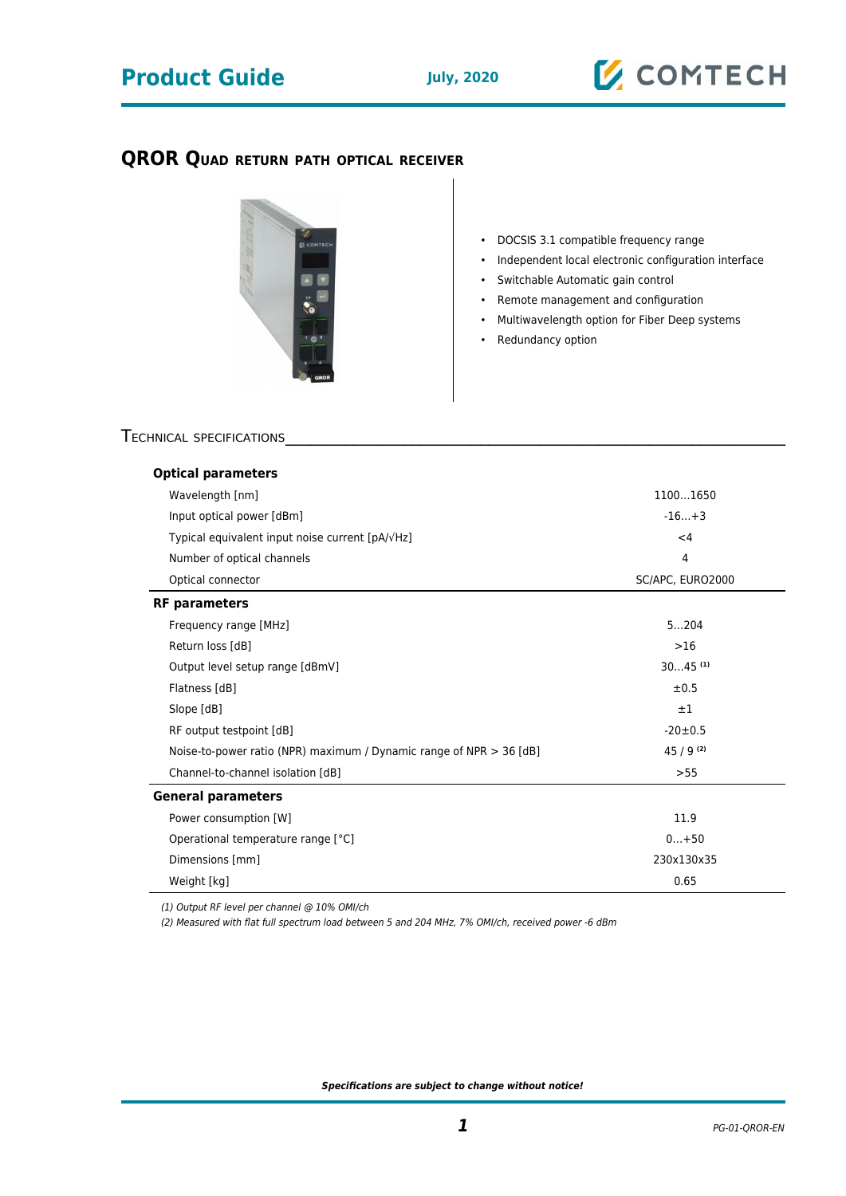## **Product Guide July, 2020**

## **QROR QUAD RETURN PATH OPTICAL RECEIVER**



- DOCSIS 3.1 compatible frequency range
- Independent local electronic configuration interface
- Switchable Automatic gain control
- Remote management and configuration
- Multiwavelength option for Fiber Deep systems
- Redundancy option

### TECHNICAL SPECIFICATIONS

| <b>Optical parameters</b>                                             |                       |
|-----------------------------------------------------------------------|-----------------------|
| Wavelength [nm]                                                       | 11001650              |
| Input optical power [dBm]                                             | $-16+3$               |
| Typical equivalent input noise current [pA/ $\sqrt{Hz}$ ]             | $<$ 4                 |
| Number of optical channels                                            | $\overline{4}$        |
| Optical connector                                                     | SC/APC, EURO2000      |
| <b>RF</b> parameters                                                  |                       |
| Frequency range [MHz]                                                 | 5204                  |
| Return loss [dB]                                                      | $>16$                 |
| Output level setup range [dBmV]                                       | $3045$ <sup>(1)</sup> |
| Flatness [dB]                                                         | $\pm 0.5$             |
| Slope [dB]                                                            | $\pm 1$               |
| RF output testpoint [dB]                                              | $-20 \pm 0.5$         |
| Noise-to-power ratio (NPR) maximum / Dynamic range of NPR $>$ 36 [dB] | $45/9^{(2)}$          |
| Channel-to-channel isolation [dB]                                     | >55                   |
| <b>General parameters</b>                                             |                       |
| Power consumption [W]                                                 | 11.9                  |
| Operational temperature range [°C]                                    | $0+50$                |
| Dimensions [mm]                                                       | 230x130x35            |
| Weight [kg]                                                           | 0.65                  |

(1) Output RF level per channel @ 10% OMI/ch

(2) Measured with flat full spectrum load between 5 and 204 MHz, 7% OMI/ch, received power -6 dBm